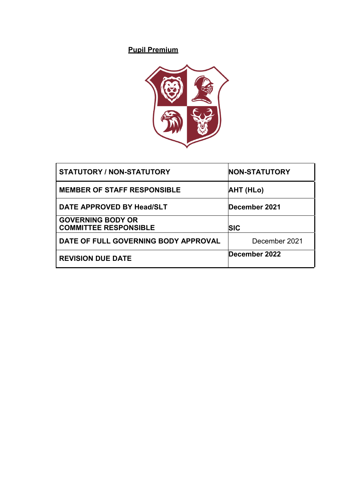# **Pupil Premium**



| <b>STATUTORY / NON-STATUTORY</b>                         | <b>NON-STATUTORY</b> |
|----------------------------------------------------------|----------------------|
| <b>MEMBER OF STAFF RESPONSIBLE</b>                       | <b>AHT (HLo)</b>     |
| DATE APPROVED BY Head/SLT                                | December 2021        |
| <b>GOVERNING BODY OR</b><br><b>COMMITTEE RESPONSIBLE</b> | SIC                  |
| DATE OF FULL GOVERNING BODY APPROVAL                     | December 2021        |
| <b>REVISION DUE DATE</b>                                 | December 2022        |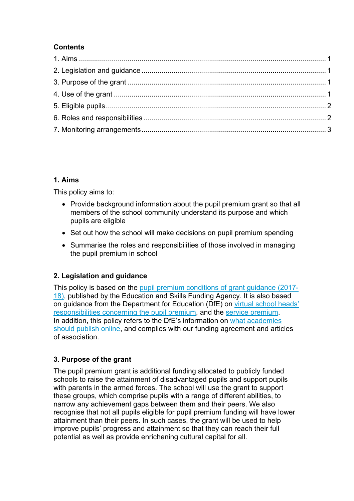### **Contents**

### **1. Aims**

This policy aims to:

- Provide background information about the pupil premium grant so that all members of the school community understand its purpose and which pupils are eligible
- Set out how the school will make decisions on pupil premium spending
- Summarise the roles and responsibilities of those involved in managing the pupil premium in school

# **2. Legislation and guidance**

This policy is based on the pupil premium conditions of grant guidance (2017- 18), published by the Education and Skills Funding Agency. It is also based on guidance from the Department for Education (DfE) on virtual school heads' responsibilities concerning the pupil premium, and the service premium. In addition, this policy refers to the DfE's information on what academies should publish online, and complies with our funding agreement and articles of association.

# **3. Purpose of the grant**

The pupil premium grant is additional funding allocated to publicly funded schools to raise the attainment of disadvantaged pupils and support pupils with parents in the armed forces. The school will use the grant to support these groups, which comprise pupils with a range of different abilities, to narrow any achievement gaps between them and their peers. We also recognise that not all pupils eligible for pupil premium funding will have lower attainment than their peers. In such cases, the grant will be used to help improve pupils' progress and attainment so that they can reach their full potential as well as provide enrichening cultural capital for all.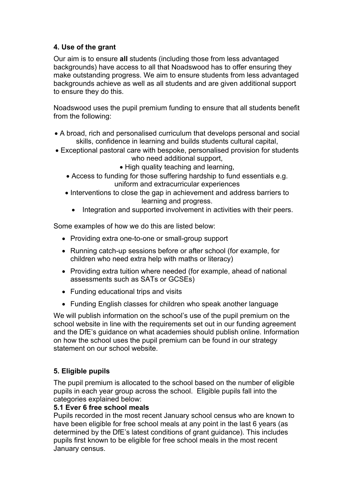### **4. Use of the grant**

Our aim is to ensure **all** students (including those from less advantaged backgrounds) have access to all that Noadswood has to offer ensuring they make outstanding progress. We aim to ensure students from less advantaged backgrounds achieve as well as all students and are given additional support to ensure they do this.

Noadswood uses the pupil premium funding to ensure that all students benefit from the following:

- A broad, rich and personalised curriculum that develops personal and social skills, confidence in learning and builds students cultural capital,
- Exceptional pastoral care with bespoke, personalised provision for students who need additional support,
	- High quality teaching and learning,
	- Access to funding for those suffering hardship to fund essentials e.g. uniform and extracurricular experiences
	- Interventions to close the gap in achievement and address barriers to learning and progress.
		- Integration and supported involvement in activities with their peers.

Some examples of how we do this are listed below:

- Providing extra one-to-one or small-group support
- Running catch-up sessions before or after school (for example, for children who need extra help with maths or literacy)
- Providing extra tuition where needed (for example, ahead of national assessments such as SATs or GCSEs)
- Funding educational trips and visits
- Funding English classes for children who speak another language

We will publish information on the school's use of the pupil premium on the school website in line with the requirements set out in our funding agreement and the DfE's guidance on what academies should publish online. Information on how the school uses the pupil premium can be found in our strategy statement on our school website.

### **5. Eligible pupils**

The pupil premium is allocated to the school based on the number of eligible pupils in each year group across the school. Eligible pupils fall into the categories explained below:

#### **5.1 Ever 6 free school meals**

Pupils recorded in the most recent January school census who are known to have been eligible for free school meals at any point in the last 6 years (as determined by the DfE's latest conditions of grant guidance). This includes pupils first known to be eligible for free school meals in the most recent January census.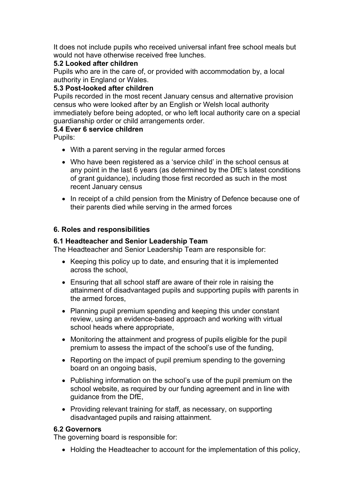It does not include pupils who received universal infant free school meals but would not have otherwise received free lunches.

#### **5.2 Looked after children**

Pupils who are in the care of, or provided with accommodation by, a local authority in England or Wales.

#### **5.3 Post-looked after children**

Pupils recorded in the most recent January census and alternative provision census who were looked after by an English or Welsh local authority immediately before being adopted, or who left local authority care on a special guardianship order or child arrangements order.

#### **5.4 Ever 6 service children**

Pupils:

- With a parent serving in the regular armed forces
- Who have been registered as a 'service child' in the school census at any point in the last 6 years (as determined by the DfE's latest conditions of grant guidance), including those first recorded as such in the most recent January census
- In receipt of a child pension from the Ministry of Defence because one of their parents died while serving in the armed forces

#### **6. Roles and responsibilities**

#### **6.1 Headteacher and Senior Leadership Team**

The Headteacher and Senior Leadership Team are responsible for:

- Keeping this policy up to date, and ensuring that it is implemented across the school,
- Ensuring that all school staff are aware of their role in raising the attainment of disadvantaged pupils and supporting pupils with parents in the armed forces,
- Planning pupil premium spending and keeping this under constant review, using an evidence-based approach and working with virtual school heads where appropriate,
- Monitoring the attainment and progress of pupils eligible for the pupil premium to assess the impact of the school's use of the funding,
- Reporting on the impact of pupil premium spending to the governing board on an ongoing basis,
- Publishing information on the school's use of the pupil premium on the school website, as required by our funding agreement and in line with guidance from the DfE,
- Providing relevant training for staff, as necessary, on supporting disadvantaged pupils and raising attainment.

#### **6.2 Governors**

The governing board is responsible for:

• Holding the Headteacher to account for the implementation of this policy,